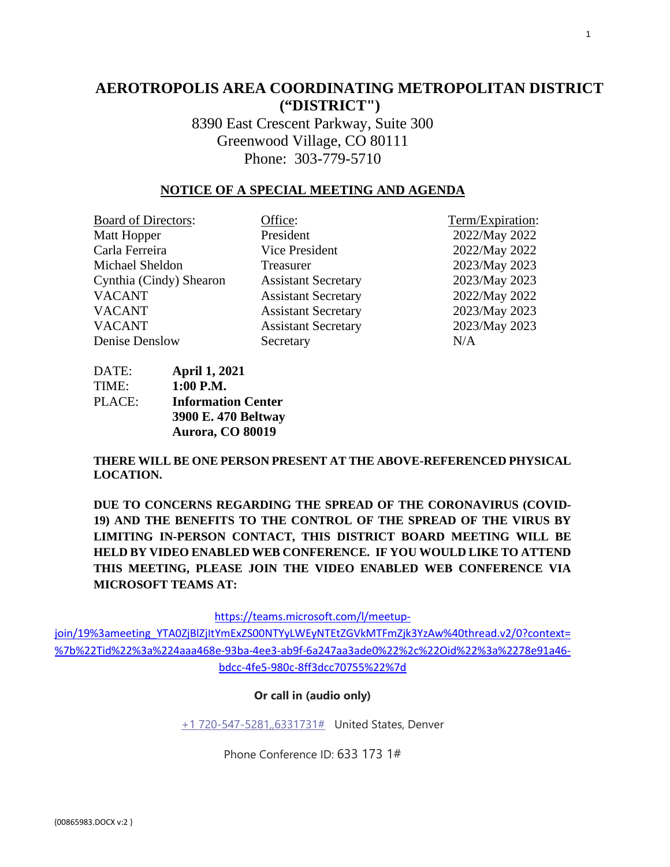# **AEROTROPOLIS AREA COORDINATING METROPOLITAN DISTRICT ("DISTRICT")**

8390 East Crescent Parkway, Suite 300 Greenwood Village, CO 80111 Phone: 303-779-5710

### **NOTICE OF A SPECIAL MEETING AND AGENDA**

| <b>Board of Directors:</b> | Office:                    | Term/Expiration: |
|----------------------------|----------------------------|------------------|
| Matt Hopper                | President                  | 2022/May 2022    |
| Carla Ferreira             | Vice President             | 2022/May 2022    |
| Michael Sheldon            | Treasurer                  | 2023/May 2023    |
| Cynthia (Cindy) Shearon    | <b>Assistant Secretary</b> | 2023/May 2023    |
| <b>VACANT</b>              | <b>Assistant Secretary</b> | 2022/May 2022    |
| <b>VACANT</b>              | <b>Assistant Secretary</b> | 2023/May 2023    |
| <b>VACANT</b>              | <b>Assistant Secretary</b> | 2023/May 2023    |
| Denise Denslow             | Secretary                  | N/A              |

DATE: **April 1, 2021** TIME: **1:00 P.M.** PLACE: **Information Center 3900 E. 470 Beltway Aurora, CO 80019** 

**THERE WILL BE ONE PERSON PRESENT AT THE ABOVE-REFERENCED PHYSICAL LOCATION.**

**DUE TO CONCERNS REGARDING THE SPREAD OF THE CORONAVIRUS (COVID-19) AND THE BENEFITS TO THE CONTROL OF THE SPREAD OF THE VIRUS BY LIMITING IN-PERSON CONTACT, THIS DISTRICT BOARD MEETING WILL BE HELD BY VIDEO ENABLED WEB CONFERENCE. IF YOU WOULD LIKE TO ATTEND THIS MEETING, PLEASE JOIN THE VIDEO ENABLED WEB CONFERENCE VIA MICROSOFT TEAMS AT:**

[https://teams.microsoft.com/l/meetup-](https://teams.microsoft.com/l/meetup-join/19%3ameeting_YTA0ZjBlZjItYmExZS00NTYyLWEyNTEtZGVkMTFmZjk3YzAw%40thread.v2/0?context=%7b%22Tid%22%3a%224aaa468e-93ba-4ee3-ab9f-6a247aa3ade0%22%2c%22Oid%22%3a%2278e91a46-bdcc-4fe5-980c-8ff3dcc70755%22%7d)

[join/19%3ameeting\\_YTA0ZjBlZjItYmExZS00NTYyLWEyNTEtZGVkMTFmZjk3YzAw%40thread.v2/0?context=](https://teams.microsoft.com/l/meetup-join/19%3ameeting_YTA0ZjBlZjItYmExZS00NTYyLWEyNTEtZGVkMTFmZjk3YzAw%40thread.v2/0?context=%7b%22Tid%22%3a%224aaa468e-93ba-4ee3-ab9f-6a247aa3ade0%22%2c%22Oid%22%3a%2278e91a46-bdcc-4fe5-980c-8ff3dcc70755%22%7d) [%7b%22Tid%22%3a%224aaa468e-93ba-4ee3-ab9f-6a247aa3ade0%22%2c%22Oid%22%3a%2278e91a46](https://teams.microsoft.com/l/meetup-join/19%3ameeting_YTA0ZjBlZjItYmExZS00NTYyLWEyNTEtZGVkMTFmZjk3YzAw%40thread.v2/0?context=%7b%22Tid%22%3a%224aaa468e-93ba-4ee3-ab9f-6a247aa3ade0%22%2c%22Oid%22%3a%2278e91a46-bdcc-4fe5-980c-8ff3dcc70755%22%7d) [bdcc-4fe5-980c-8ff3dcc70755%22%7d](https://teams.microsoft.com/l/meetup-join/19%3ameeting_YTA0ZjBlZjItYmExZS00NTYyLWEyNTEtZGVkMTFmZjk3YzAw%40thread.v2/0?context=%7b%22Tid%22%3a%224aaa468e-93ba-4ee3-ab9f-6a247aa3ade0%22%2c%22Oid%22%3a%2278e91a46-bdcc-4fe5-980c-8ff3dcc70755%22%7d)

#### **Or call in (audio only)**

[+1 720-547-5281,,6331731#](tel:+17205475281,,6331731#%20) United States, Denver

Phone Conference ID: 633 173 1#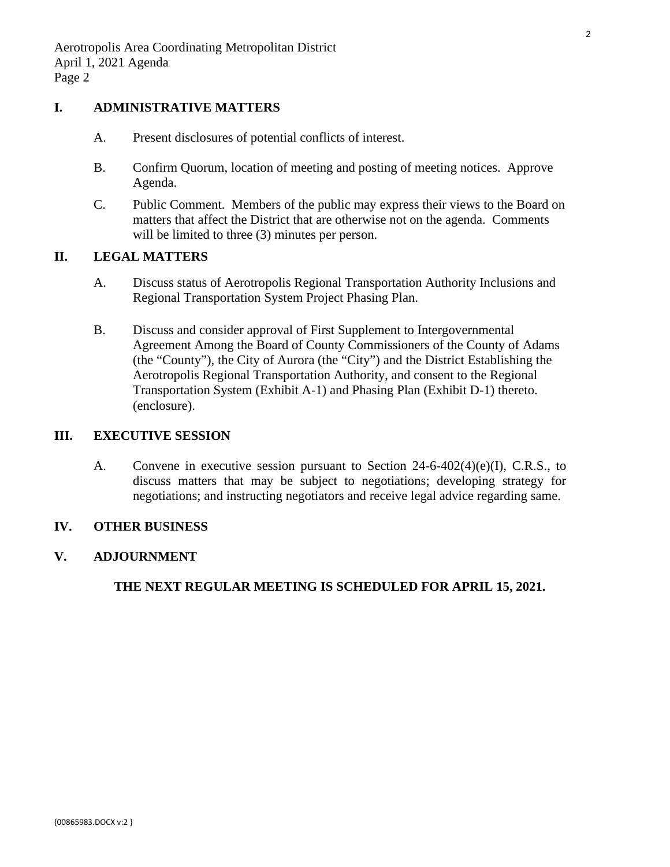## **I. ADMINISTRATIVE MATTERS**

- A. Present disclosures of potential conflicts of interest.
- B. Confirm Quorum, location of meeting and posting of meeting notices. Approve Agenda.
- C. Public Comment. Members of the public may express their views to the Board on matters that affect the District that are otherwise not on the agenda. Comments will be limited to three  $(3)$  minutes per person.

# **II. LEGAL MATTERS**

- A. Discuss status of Aerotropolis Regional Transportation Authority Inclusions and Regional Transportation System Project Phasing Plan.
- B. Discuss and consider approval of First Supplement to Intergovernmental [Agreement Among the Board of County Commissioners of the County of Adams](#page-2-0)  (the "County"), the City of Aurora (the "City") and the District Establishing the Aerotropolis Regional Transportation Authority, and consent to the Regional Transportation System (Exhibit A-1) and Phasing Plan (Exhibit D-1) thereto. (enclosure).

# **III. EXECUTIVE SESSION**

A. Convene in executive session pursuant to Section 24-6-402(4)(e)(I), C.R.S., to discuss matters that may be subject to negotiations; developing strategy for negotiations; and instructing negotiators and receive legal advice regarding same.

## **IV. OTHER BUSINESS**

## **V. ADJOURNMENT**

**THE NEXT REGULAR MEETING IS SCHEDULED FOR APRIL 15, 2021.**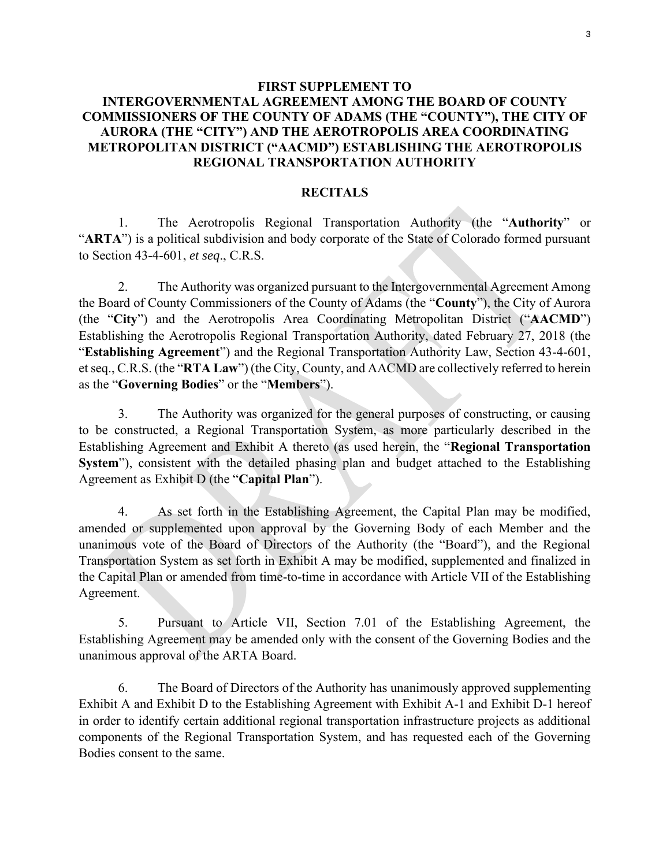# <span id="page-2-0"></span>**FIRST SUPPLEMENT TO INTERGOVERNMENTAL AGREEMENT AMONG THE BOARD OF COUNTY COMMISSIONERS OF THE COUNTY OF ADAMS (THE "COUNTY"), THE CITY OF AURORA (THE "CITY") AND THE AEROTROPOLIS AREA COORDINATING METROPOLITAN DISTRICT ("AACMD") ESTABLISHING THE AEROTROPOLIS REGIONAL TRANSPORTATION AUTHORITY**

#### **RECITALS**

1. The Aerotropolis Regional Transportation Authority (the "**Authority**" or "ARTA") is a political subdivision and body corporate of the State of Colorado formed pursuant to Section 43-4-601, *et seq*., C.R.S.

2. The Authority was organized pursuant to the Intergovernmental Agreement Among the Board of County Commissioners of the County of Adams (the "**County**"), the City of Aurora (the "**City**") and the Aerotropolis Area Coordinating Metropolitan District ("**AACMD**") Establishing the Aerotropolis Regional Transportation Authority, dated February 27, 2018 (the "**Establishing Agreement**") and the Regional Transportation Authority Law, Section 43-4-601, et seq., C.R.S. (the "**RTA Law**") (the City, County, and AACMD are collectively referred to herein as the "**Governing Bodies**" or the "**Members**").

3. The Authority was organized for the general purposes of constructing, or causing to be constructed, a Regional Transportation System, as more particularly described in the Establishing Agreement and Exhibit A thereto (as used herein, the "**Regional Transportation System**"), consistent with the detailed phasing plan and budget attached to the Establishing Agreement as Exhibit D (the "**Capital Plan**").

4. As set forth in the Establishing Agreement, the Capital Plan may be modified, amended or supplemented upon approval by the Governing Body of each Member and the unanimous vote of the Board of Directors of the Authority (the "Board"), and the Regional Transportation System as set forth in Exhibit A may be modified, supplemented and finalized in the Capital Plan or amended from time-to-time in accordance with Article VII of the Establishing Agreement.

5. Pursuant to Article VII, Section 7.01 of the Establishing Agreement, the Establishing Agreement may be amended only with the consent of the Governing Bodies and the unanimous approval of the ARTA Board.

6. The Board of Directors of the Authority has unanimously approved supplementing Exhibit A and Exhibit D to the Establishing Agreement with Exhibit A-1 and Exhibit D-1 hereof in order to identify certain additional regional transportation infrastructure projects as additional components of the Regional Transportation System, and has requested each of the Governing Bodies consent to the same.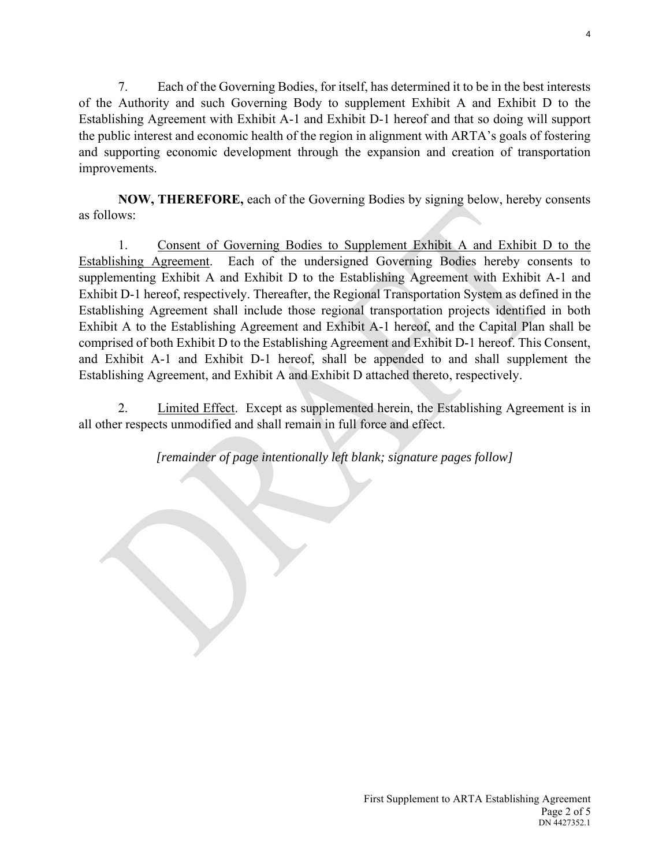7. Each of the Governing Bodies, for itself, has determined it to be in the best interests of the Authority and such Governing Body to supplement Exhibit A and Exhibit D to the Establishing Agreement with Exhibit A-1 and Exhibit D-1 hereof and that so doing will support the public interest and economic health of the region in alignment with ARTA's goals of fostering and supporting economic development through the expansion and creation of transportation improvements.

**NOW, THEREFORE,** each of the Governing Bodies by signing below, hereby consents as follows:

1. Consent of Governing Bodies to Supplement Exhibit A and Exhibit D to the Establishing Agreement. Each of the undersigned Governing Bodies hereby consents to supplementing Exhibit A and Exhibit D to the Establishing Agreement with Exhibit A-1 and Exhibit D-1 hereof, respectively. Thereafter, the Regional Transportation System as defined in the Establishing Agreement shall include those regional transportation projects identified in both Exhibit A to the Establishing Agreement and Exhibit A-1 hereof, and the Capital Plan shall be comprised of both Exhibit D to the Establishing Agreement and Exhibit D-1 hereof. This Consent, and Exhibit A-1 and Exhibit D-1 hereof, shall be appended to and shall supplement the Establishing Agreement, and Exhibit A and Exhibit D attached thereto, respectively.

2. Limited Effect. Except as supplemented herein, the Establishing Agreement is in all other respects unmodified and shall remain in full force and effect.

*[remainder of page intentionally left blank; signature pages follow]*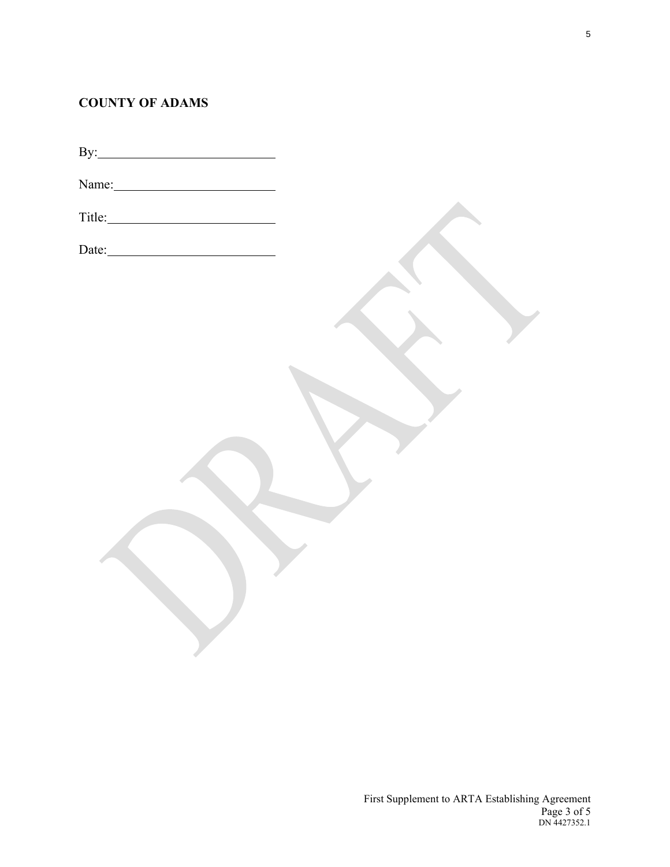# **COUNTY OF ADAMS**

| Name: |  |
|-------|--|
|       |  |
|       |  |
|       |  |
|       |  |
|       |  |
|       |  |
|       |  |
|       |  |
|       |  |
|       |  |
|       |  |
|       |  |
|       |  |
|       |  |
|       |  |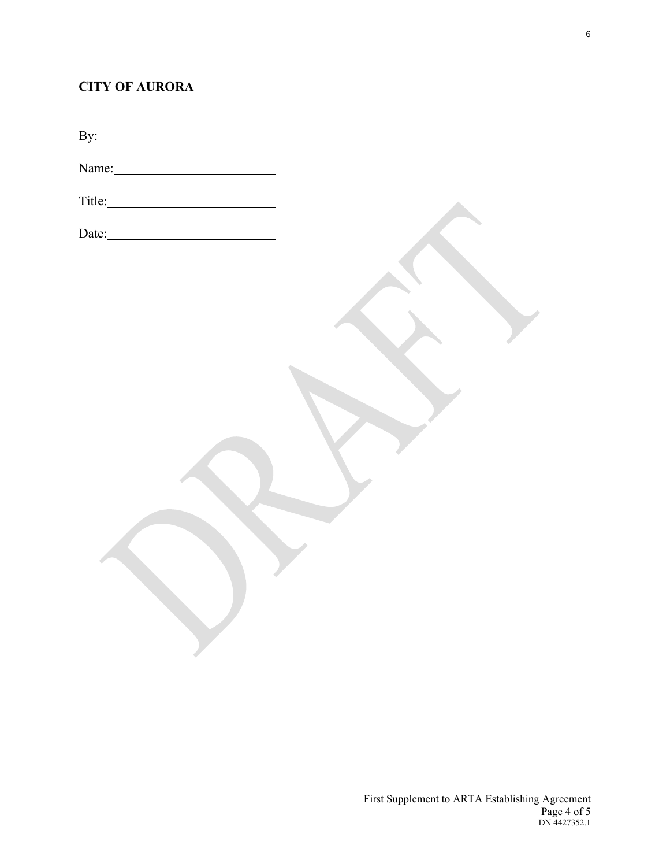# **CITY OF AURORA**

By:

Name:

Title: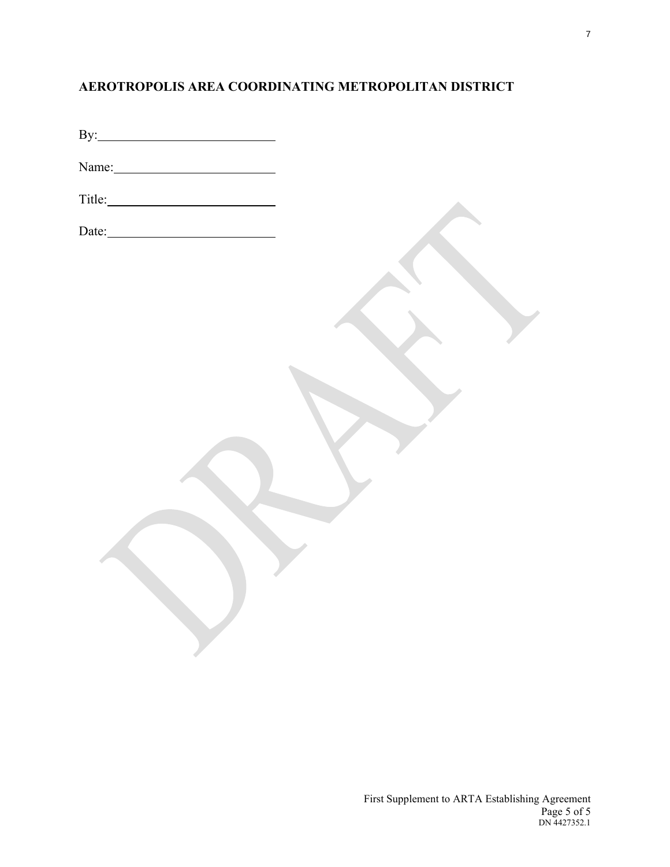# **AEROTROPOLIS AREA COORDINATING METROPOLITAN DISTRICT**

| By: |  |  |
|-----|--|--|
|     |  |  |

Name:

| $\text{Title:}$ |  |
|-----------------|--|
|                 |  |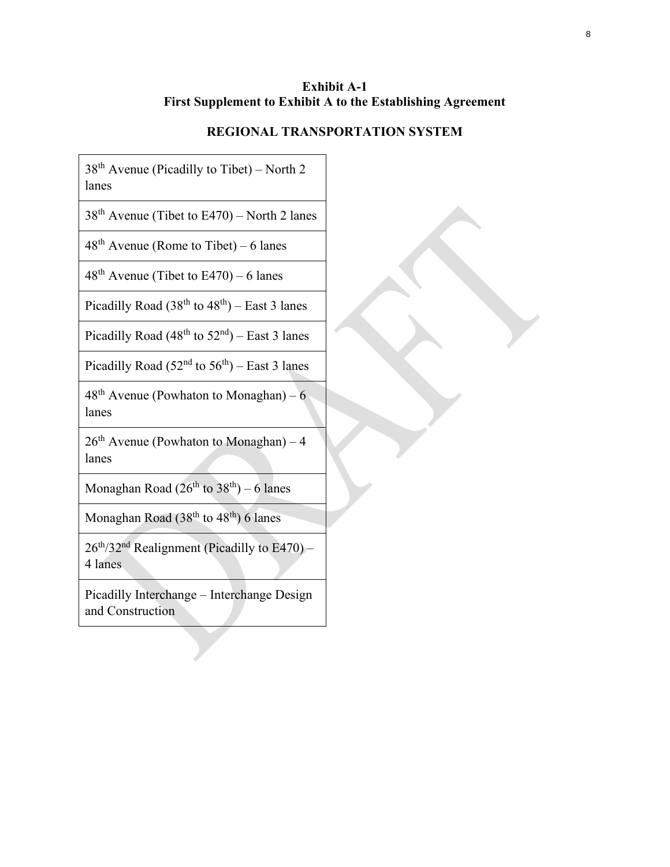## **Exhibit A-1 First Supplement to Exhibit A to the Establishing Agreement**

## **REGIONAL TRANSPORTATION SYSTEM**

 $38<sup>th</sup>$  Avenue (Picadilly to Tibet) – North 2 lanes

 $38<sup>th</sup>$  Avenue (Tibet to E470) – North 2 lanes

 $48<sup>th</sup>$  Avenue (Rome to Tibet) – 6 lanes

 $48<sup>th</sup>$  Avenue (Tibet to E470) – 6 lanes

Picadilly Road  $(38<sup>th</sup>$  to  $48<sup>th</sup>$ ) – East 3 lanes

Picadilly Road ( $48<sup>th</sup>$  to  $52<sup>nd</sup>$ ) – East 3 lanes

Picadilly Road  $(52<sup>nd</sup>$  to  $56<sup>th</sup>$ ) – East 3 lanes

 $48<sup>th</sup>$  Avenue (Powhaton to Monaghan) – 6 lanes

 $26<sup>th</sup>$  Avenue (Powhaton to Monaghan) – 4 lanes

Monaghan Road  $(26^{th}$  to  $38^{th}) - 6$  lanes

Monaghan Road  $(38<sup>th</sup>$  to  $48<sup>th</sup>$ ) 6 lanes

26th/32nd Realignment (Picadilly to E470) – 4 lanes

Picadilly Interchange – Interchange Design and Construction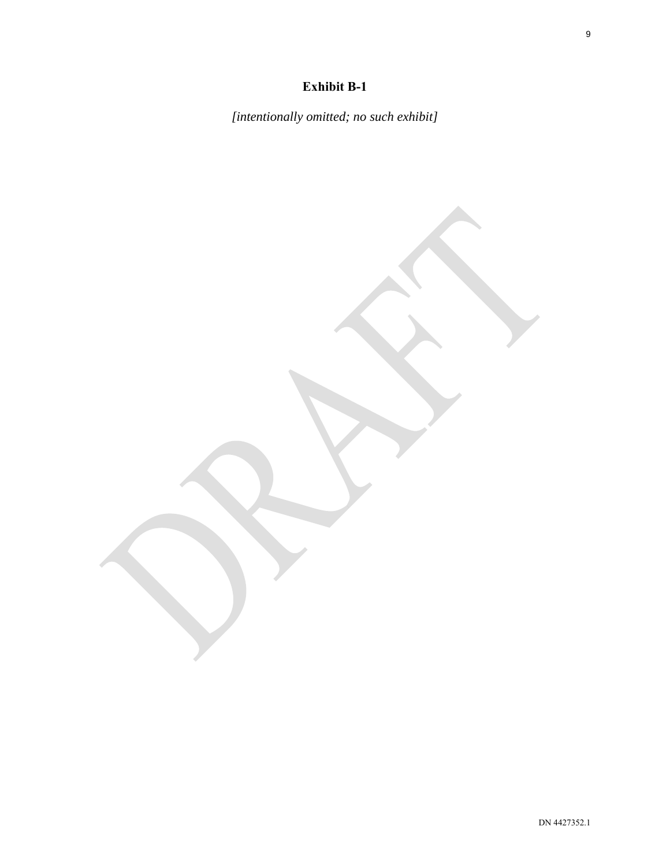# **Exhibit B-1**

*[intentionally omitted; no such exhibit]*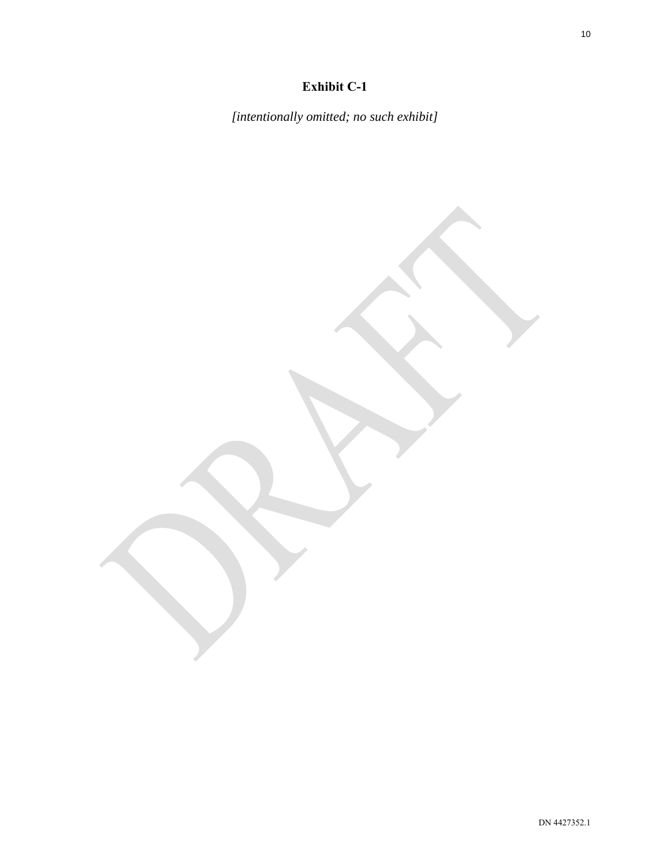# **Exhibit C-1**

*[intentionally omitted; no such exhibit]*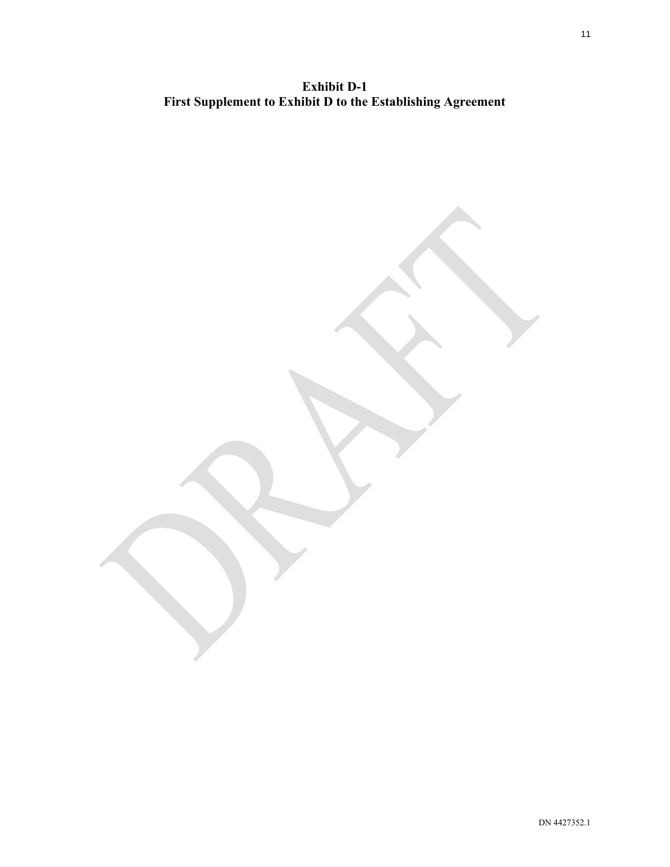**Exhibit D-1 First Supplement to Exhibit D to the Establishing Agreement**